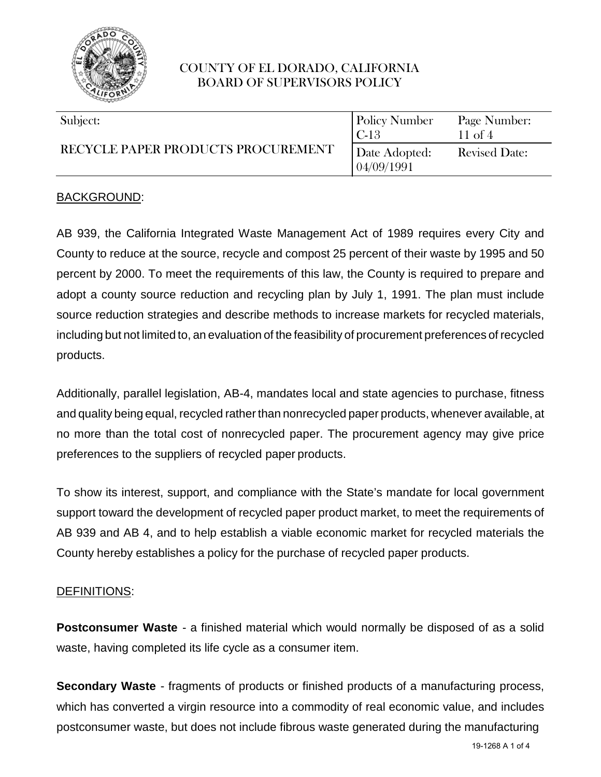

| Subject:<br>RECYCLE PAPER PRODUCTS PROCUREMENT | <b>Policy Number</b><br>l C-13 | Page Number:<br>$11$ of 4 |
|------------------------------------------------|--------------------------------|---------------------------|
|                                                | Date Adopted:<br>04/09/1991    | <b>Revised Date:</b>      |

### BACKGROUND:

AB 939, the California Integrated Waste Management Act of 1989 requires every City and County to reduce at the source, recycle and compost 25 percent of their waste by 1995 and 50 percent by 2000. To meet the requirements of this law, the County is required to prepare and adopt a county source reduction and recycling plan by July 1, 1991. The plan must include source reduction strategies and describe methods to increase markets for recycled materials, including but not limited to, an evaluation of the feasibility of procurement preferences of recycled products.

Additionally, parallel legislation, AB-4, mandates local and state agencies to purchase, fitness and quality being equal, recycled rather than nonrecycled paper products, whenever available, at no more than the total cost of nonrecycled paper. The procurement agency may give price preferences to the suppliers of recycled paper products.

To show its interest, support, and compliance with the State's mandate for local government support toward the development of recycled paper product market, to meet the requirements of AB 939 and AB 4, and to help establish a viable economic market for recycled materials the County hereby establishes a policy for the purchase of recycled paper products.

#### DEFINITIONS:

**Postconsumer Waste** - a finished material which would normally be disposed of as a solid waste, having completed its life cycle as a consumer item.

**Secondary Waste** - fragments of products or finished products of a manufacturing process, which has converted a virgin resource into a commodity of real economic value, and includes postconsumer waste, but does not include fibrous waste generated during the manufacturing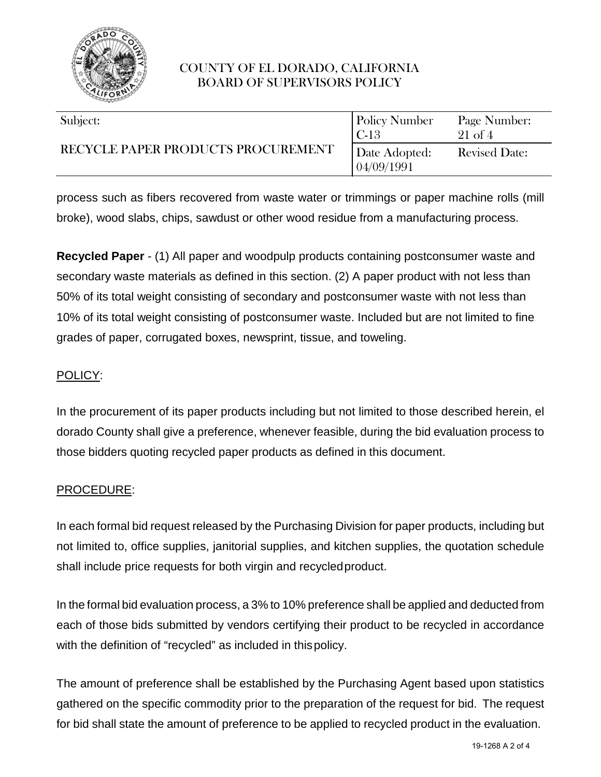

| Subject:<br>RECYCLE PAPER PRODUCTS PROCUREMENT | <b>Policy Number</b><br>$ C-13$ | Page Number:<br>$21 \text{ of } 4$ |
|------------------------------------------------|---------------------------------|------------------------------------|
|                                                | Date Adopted:<br>  04/09/1991   | <b>Revised Date:</b>               |

process such as fibers recovered from waste water or trimmings or paper machine rolls (mill broke), wood slabs, chips, sawdust or other wood residue from a manufacturing process.

**Recycled Paper** - (1) All paper and woodpulp products containing postconsumer waste and secondary waste materials as defined in this section. (2) A paper product with not less than 50% of its total weight consisting of secondary and postconsumer waste with not less than 10% of its total weight consisting of postconsumer waste. Included but are not limited to fine grades of paper, corrugated boxes, newsprint, tissue, and toweling.

### POLICY:

In the procurement of its paper products including but not limited to those described herein, el dorado County shall give a preference, whenever feasible, during the bid evaluation process to those bidders quoting recycled paper products as defined in this document.

#### PROCEDURE:

In each formal bid request released by the Purchasing Division for paper products, including but not limited to, office supplies, janitorial supplies, and kitchen supplies, the quotation schedule shall include price requests for both virgin and recycledproduct.

In the formal bid evaluation process, a 3% to 10% preference shall be applied and deducted from each of those bids submitted by vendors certifying their product to be recycled in accordance with the definition of "recycled" as included in this policy.

The amount of preference shall be established by the Purchasing Agent based upon statistics gathered on the specific commodity prior to the preparation of the request for bid. The request for bid shall state the amount of preference to be applied to recycled product in the evaluation.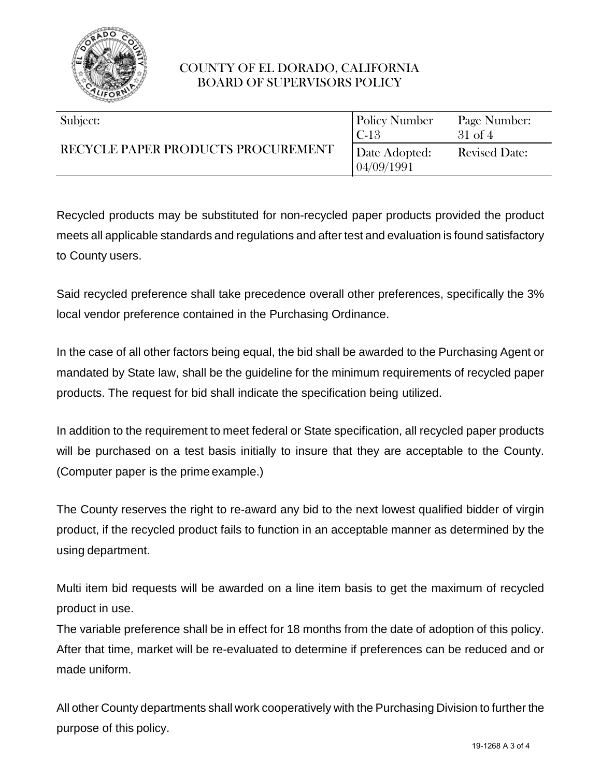

| Subject:<br>RECYCLE PAPER PRODUCTS PROCUREMENT | <b>Policy Number</b><br>l C-13 | Page Number:<br>$31$ of 4 |
|------------------------------------------------|--------------------------------|---------------------------|
|                                                | Date Adopted:<br>04/09/1991    | <b>Revised Date:</b>      |

Recycled products may be substituted for non-recycled paper products provided the product meets all applicable standards and regulations and after test and evaluation is found satisfactory to County users.

Said recycled preference shall take precedence overall other preferences, specifically the 3% local vendor preference contained in the Purchasing Ordinance.

In the case of all other factors being equal, the bid shall be awarded to the Purchasing Agent or mandated by State law, shall be the guideline for the minimum requirements of recycled paper products. The request for bid shall indicate the specification being utilized.

In addition to the requirement to meet federal or State specification, all recycled paper products will be purchased on a test basis initially to insure that they are acceptable to the County. (Computer paper is the prime example.)

The County reserves the right to re-award any bid to the next lowest qualified bidder of virgin product, if the recycled product fails to function in an acceptable manner as determined by the using department.

Multi item bid requests will be awarded on a line item basis to get the maximum of recycled product in use.

The variable preference shall be in effect for 18 months from the date of adoption of this policy. After that time, market will be re-evaluated to determine if preferences can be reduced and or made uniform.

All other County departments shall work cooperatively with the Purchasing Division to further the purpose of this policy.